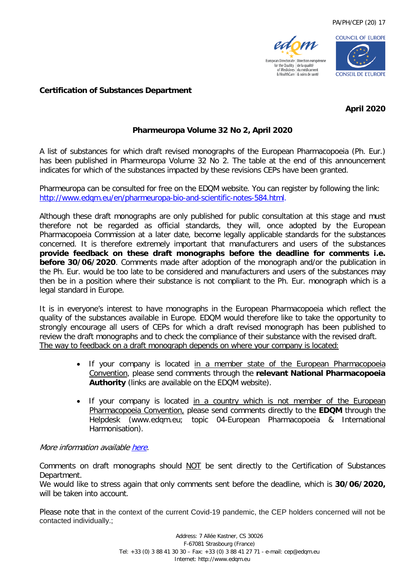



## **Certification of Substances Department**

**April 2020**

## **Pharmeuropa Volume 32 No 2, April 2020**

A list of substances for which draft revised monographs of the European Pharmacopoeia (Ph. Eur.) has been published in Pharmeuropa Volume 32 No 2. The table at the end of this announcement indicates for which of the substances impacted by these revisions CEPs have been granted.

Pharmeuropa can be consulted for free on the EDQM website. You can register by following the link: [http://www.edqm.eu/en/pharmeuropa-bio-and-scientific-notes-584.html.](http://www.edqm.eu/en/pharmeuropa-bio-and-scientific-notes-584.html)

Although these draft monographs are only published for public consultation at this stage and must therefore not be regarded as official standards, they will, once adopted by the European Pharmacopoeia Commission at a later date, become legally applicable standards for the substances concerned. It is therefore extremely important that manufacturers and users of the substances **provide feedback on these draft monographs before the deadline for comments i.e. before 30/06/2020**. Comments made after adoption of the monograph and/or the publication in the Ph. Eur. would be too late to be considered and manufacturers and users of the substances may then be in a position where their substance is not compliant to the Ph. Eur. monograph which is a legal standard in Europe.

It is in everyone's interest to have monographs in the European Pharmacopoeia which reflect the quality of the substances available in Europe. EDQM would therefore like to take the opportunity to strongly encourage all users of CEPs for which a draft revised monograph has been published to review the draft monographs and to check the compliance of their substance with the revised draft. The way to feedback on a draft monograph depends on where your company is located:

- If your company is located in a member state of the European Pharmacopoeia Convention, please send comments through the **relevant National Pharmacopoeia Authority** (links are available on the EDQM website).
- If your company is located in a country which is not member of the European Pharmacopoeia Convention, please send comments directly to the **EDQM** through the Helpdesk (www.edqm.eu; topic 04-European Pharmacopoeia & International Harmonisation).

## More information availabl[e here.](https://www.edqm.eu/sites/default/files/medias/fichiers/how_to_comment.pdf)

Comments on draft monographs should NOT be sent directly to the Certification of Substances Department.

We would like to stress again that only comments sent before the deadline, which is **30/06/2020,** will be taken into account.

Please note that in the context of the current Covid-19 pandemic, the CEP holders concerned will not be contacted individually.;